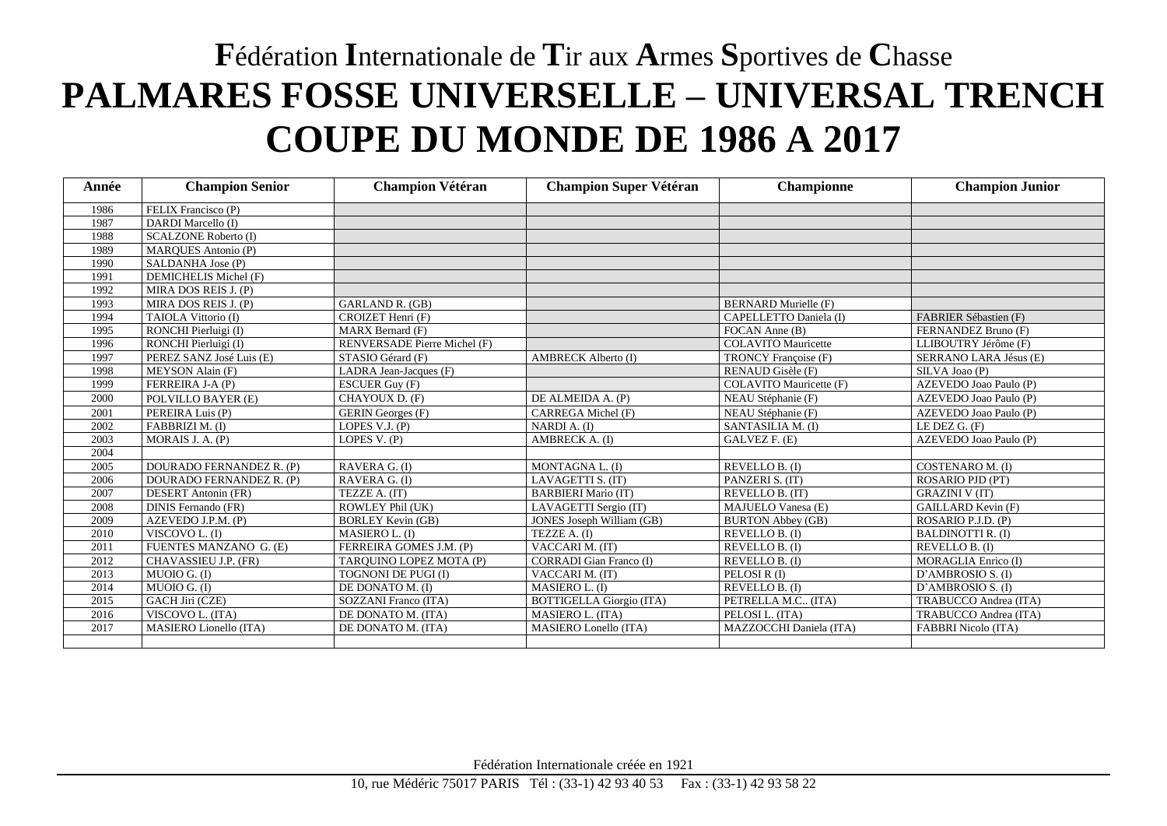## **F**édération **I**nternationale de **T**ir aux **A**rmes **S**portives de **C**hasse **PALMARES FOSSE UNIVERSELLE – UNIVERSAL TRENCH COUPE DU MONDE DE 1986 A 2017**

| Année | <b>Champion Senior</b>      | <b>Champion Vétéran</b>      | <b>Champion Super Vétéran</b>   | Championne                  | <b>Champion Junior</b>     |
|-------|-----------------------------|------------------------------|---------------------------------|-----------------------------|----------------------------|
| 1986  | FELIX Francisco (P)         |                              |                                 |                             |                            |
| 1987  | DARDI Marcello (I)          |                              |                                 |                             |                            |
| 1988  | <b>SCALZONE Roberto (I)</b> |                              |                                 |                             |                            |
| 1989  | <b>MARQUES Antonio (P)</b>  |                              |                                 |                             |                            |
| 1990  | SALDANHA Jose (P)           |                              |                                 |                             |                            |
| 1991  | DEMICHELIS Michel (F)       |                              |                                 |                             |                            |
| 1992  | MIRA DOS REIS J. (P)        |                              |                                 |                             |                            |
| 1993  | MIRA DOS REIS J. (P)        | GARLAND R. (GB)              |                                 | <b>BERNARD Murielle (F)</b> |                            |
| 1994  | TAIOLA Vittorio (I)         | CROIZET Henri (F)            |                                 | CAPELLETTO Daniela (I)      | FABRIER Sébastien (F)      |
| 1995  | RONCHI Pierluigi (I)        | MARX Bernard (F)             |                                 | FOCAN Anne (B)              | FERNANDEZ Bruno (F)        |
| 1996  | RONCHI Pierluigi (I)        | RENVERSADE Pierre Michel (F) |                                 | <b>COLAVITO</b> Mauricette  | LLIBOUTRY Jérôme (F)       |
| 1997  | PEREZ SANZ José Luis (E)    | STASIO Gérard (F)            | <b>AMBRECK Alberto (I)</b>      | TRONCY Françoise (F)        | SERRANO LARA Jésus (E)     |
| 1998  | MEYSON Alain (F)            | LADRA Jean-Jacques (F)       |                                 | RENAUD Gisèle (F)           | SILVA Joao (P)             |
| 1999  | FERREIRA J-A (P)            | <b>ESCUER Guy (F)</b>        |                                 | COLAVITO Mauricette (F)     | AZEVEDO Joao Paulo (P)     |
| 2000  | POLVILLO BAYER (E)          | CHAYOUX D. (F)               | DE ALMEIDA A. (P)               | NEAU Stéphanie (F)          | AZEVEDO Joao Paulo (P)     |
| 2001  | PEREIRA Luis (P)            | <b>GERIN</b> Georges (F)     | CARREGA Michel (F)              | NEAU Stéphanie (F)          | AZEVEDO Joao Paulo (P)     |
| 2002  | FABBRIZI M. (I)             | LOPES V.J. (P)               | NARDI A. (I)                    | SANTASILIA M. (I)           | LE DEZ G. (F)              |
| 2003  | MORAIS J. A. (P)            | LOPES V. (P)                 | AMBRECK A. (I)                  | GALVEZ F. (E)               | AZEVEDO Joao Paulo (P)     |
| 2004  |                             |                              |                                 |                             |                            |
| 2005  | DOURADO FERNANDEZ R. (P)    | RAVERA G. (I)                | MONTAGNA L. (I)                 | REVELLO B. (I)              | COSTENARO M. (I)           |
| 2006  | DOURADO FERNANDEZ R. (P)    | RAVERA G. (I)                | LAVAGETTI S. (IT)               | PANZERI S. (IT)             | ROSARIO PJD (PT)           |
| 2007  | <b>DESERT</b> Antonin (FR)  | TEZZE A. (IT)                | <b>BARBIERI Mario (IT)</b>      | REVELLO B. (IT)             | <b>GRAZINI V (IT)</b>      |
| 2008  | DINIS Fernando (FR)         | ROWLEY Phil (UK)             | LAVAGETTI Sergio (IT)           | MAJUELO Vanesa (E)          | <b>GAILLARD Kevin (F)</b>  |
| 2009  | AZEVEDO J.P.M. (P)          | <b>BORLEY</b> Kevin (GB)     | JONES Joseph William (GB)       | <b>BURTON Abbey (GB)</b>    | ROSARIO P.J.D. (P)         |
| 2010  | VISCOVO L. (I)              | MASIERO L. (I)               | TEZZE A. (I)                    | REVELLO B. (I)              | <b>BALDINOTTI R. (I)</b>   |
| 2011  | FUENTES MANZANO G. (E)      | FERREIRA GOMES J.M. (P)      | VACCARI M. (IT)                 | REVELLO B. (I)              | REVELLO B. (I)             |
| 2012  | CHAVASSIEU J.P. (FR)        | TARQUINO LOPEZ MOTA (P)      | <b>CORRADI</b> Gian Franco (I)  | REVELLO B. (I)              | MORAGLIA Enrico (I)        |
| 2013  | MUOIO G. (I)                | TOGNONI DE PUGI (I)          | VACCARI M. (IT)                 | PELOSI R (I)                | D'AMBROSIO S. (I)          |
| 2014  | MUOIO G. (I)                | DE DONATO M. (I)             | MASIERO L. (I)                  | REVELLO B. (I)              | D'AMBROSIO S. (I)          |
| 2015  | GACH Jiri (CZE)             | SOZZANI Franco (ITA)         | <b>BOTTIGELLA Giorgio (ITA)</b> | PETRELLA M.C (ITA)          | TRABUCCO Andrea (ITA)      |
| 2016  | VISCOVO L. (ITA)            | DE DONATO M. (ITA)           | MASIERO L. (ITA)                | PELOSI L. (ITA)             | TRABUCCO Andrea (ITA)      |
| 2017  | MASIERO Lionello (ITA)      | DE DONATO M. (ITA)           | MASIERO Lonello (ITA)           | MAZZOCCHI Daniela (ITA)     | <b>FABBRI Nicolo (ITA)</b> |
|       |                             |                              |                                 |                             |                            |